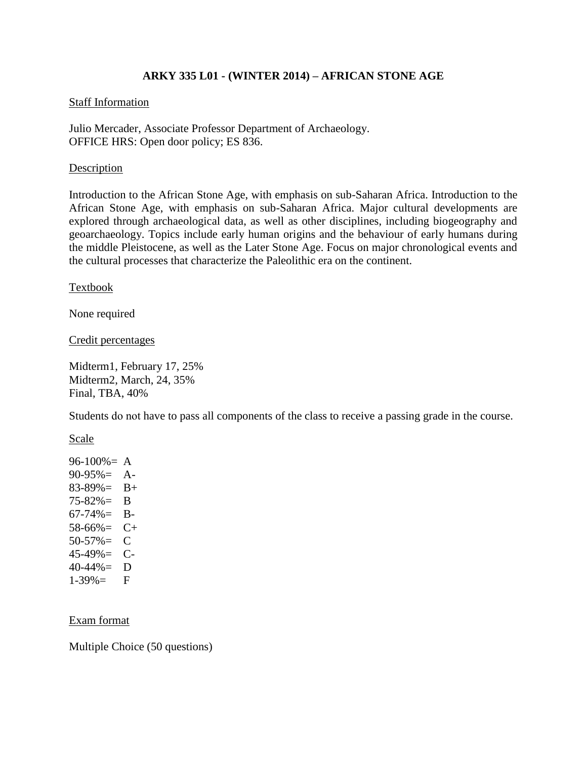# **ARKY 335 L01 - (WINTER 2014) – AFRICAN STONE AGE**

#### Staff Information

Julio Mercader, Associate Professor Department of Archaeology. OFFICE HRS: Open door policy; ES 836.

### Description

Introduction to the African Stone Age, with emphasis on sub-Saharan Africa. Introduction to the African Stone Age, with emphasis on sub-Saharan Africa. Major cultural developments are explored through archaeological data, as well as other disciplines, including biogeography and geoarchaeology. Topics include early human origins and the behaviour of early humans during the middle Pleistocene, as well as the Later Stone Age. Focus on major chronological events and the cultural processes that characterize the Paleolithic era on the continent.

Textbook

None required

Credit percentages

Midterm1, February 17, 25% Midterm2, March, 24, 35% Final, TBA, 40%

Students do not have to pass all components of the class to receive a passing grade in the course.

Scale

 $96-100% = A$ 90-95%= A- $83-89\% = B+$ 75-82%= B  $67-74\% =$  B-58-66%= C+ 50-57%= C 45-49%= C- $40-44\% = D$  $1-39\% =$  F

#### Exam format

Multiple Choice (50 questions)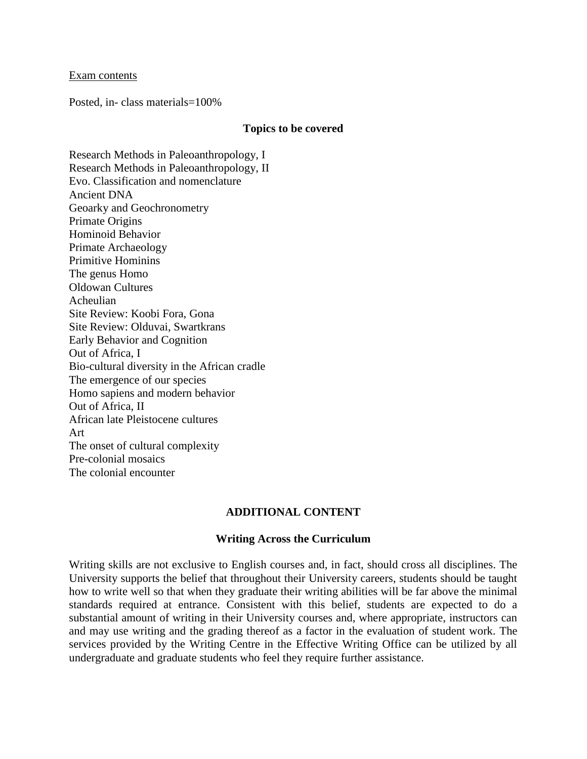#### Exam contents

Posted, in- class materials=100%

#### **Topics to be covered**

Research Methods in Paleoanthropology, I Research Methods in Paleoanthropology, II Evo. Classification and nomenclature Ancient DNA Geoarky and Geochronometry Primate Origins Hominoid Behavior Primate Archaeology Primitive Hominins The genus Homo Oldowan Cultures Acheulian Site Review: Koobi Fora, Gona Site Review: Olduvai, Swartkrans Early Behavior and Cognition Out of Africa, I Bio-cultural diversity in the African cradle The emergence of our species Homo sapiens and modern behavior Out of Africa, II African late Pleistocene cultures Art The onset of cultural complexity Pre-colonial mosaics The colonial encounter

## **ADDITIONAL CONTENT**

#### **Writing Across the Curriculum**

Writing skills are not exclusive to English courses and, in fact, should cross all disciplines. The University supports the belief that throughout their University careers, students should be taught how to write well so that when they graduate their writing abilities will be far above the minimal standards required at entrance. Consistent with this belief, students are expected to do a substantial amount of writing in their University courses and, where appropriate, instructors can and may use writing and the grading thereof as a factor in the evaluation of student work. The services provided by the Writing Centre in the Effective Writing Office can be utilized by all undergraduate and graduate students who feel they require further assistance.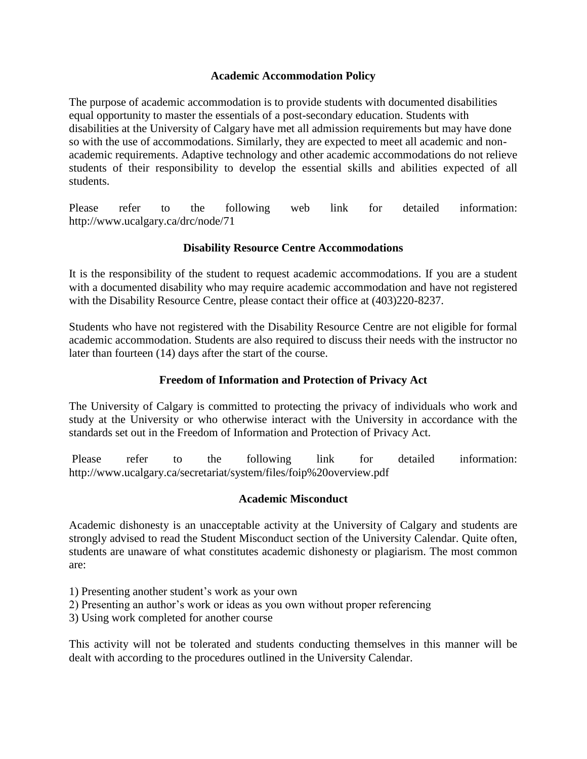# **Academic Accommodation Policy**

The purpose of academic accommodation is to provide students with documented disabilities equal opportunity to master the essentials of a post-secondary education. Students with disabilities at the University of Calgary have met all admission requirements but may have done so with the use of accommodations. Similarly, they are expected to meet all academic and nonacademic requirements. Adaptive technology and other academic accommodations do not relieve students of their responsibility to develop the essential skills and abilities expected of all students.

Please refer to the following web link for detailed information: http://www.ucalgary.ca/drc/node/71

# **Disability Resource Centre Accommodations**

It is the responsibility of the student to request academic accommodations. If you are a student with a documented disability who may require academic accommodation and have not registered with the Disability Resource Centre, please contact their office at  $(403)220-8237$ .

Students who have not registered with the Disability Resource Centre are not eligible for formal academic accommodation. Students are also required to discuss their needs with the instructor no later than fourteen (14) days after the start of the course.

# **Freedom of Information and Protection of Privacy Act**

The University of Calgary is committed to protecting the privacy of individuals who work and study at the University or who otherwise interact with the University in accordance with the standards set out in the Freedom of Information and Protection of Privacy Act.

Please refer to the following link for detailed information: http://www.ucalgary.ca/secretariat/system/files/foip%20overview.pdf

## **Academic Misconduct**

Academic dishonesty is an unacceptable activity at the University of Calgary and students are strongly advised to read the Student Misconduct section of the University Calendar. Quite often, students are unaware of what constitutes academic dishonesty or plagiarism. The most common are:

- 1) Presenting another student's work as your own
- 2) Presenting an author's work or ideas as you own without proper referencing
- 3) Using work completed for another course

This activity will not be tolerated and students conducting themselves in this manner will be dealt with according to the procedures outlined in the University Calendar.